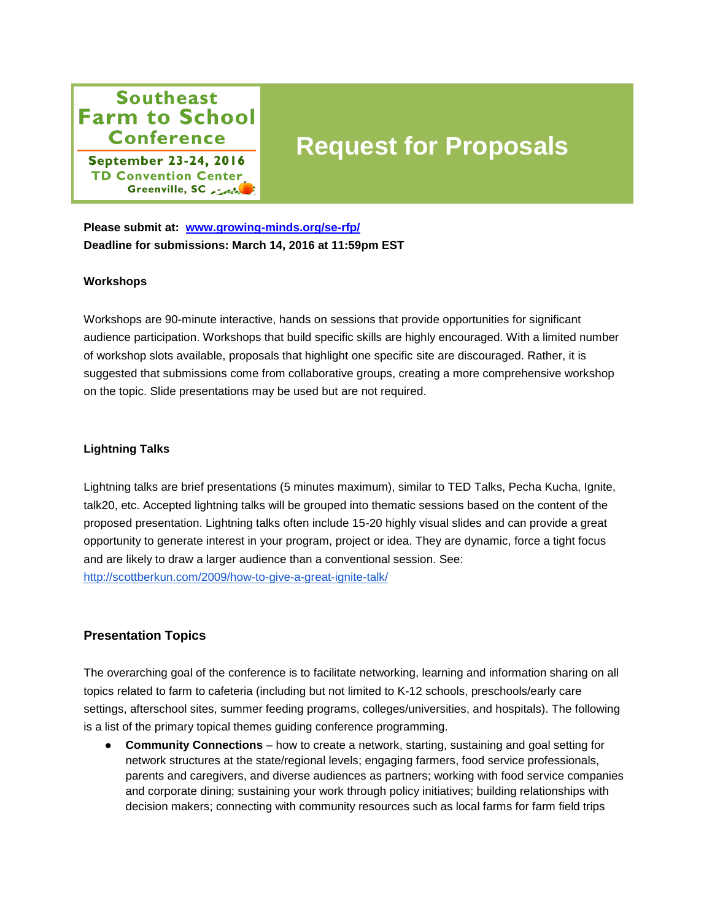## **Southeast Farm to School Conference**

**September 23-24, 2016 TD Convention Center** Greenville, SC

# **Request for Proposals**

**Please submit at: [www.growing-minds.org/se-rfp/](file:///C:/Users/Brittany/Downloads/www.growing-minds.org/se-rfp/) Deadline for submissions: March 14, 2016 at 11:59pm EST**

#### **Workshops**

Workshops are 90-minute interactive, hands on sessions that provide opportunities for significant audience participation. Workshops that build specific skills are highly encouraged. With a limited number of workshop slots available, proposals that highlight one specific site are discouraged. Rather, it is suggested that submissions come from collaborative groups, creating a more comprehensive workshop on the topic. Slide presentations may be used but are not required.

#### **Lightning Talks**

Lightning talks are brief presentations (5 minutes maximum), similar to TED Talks, Pecha Kucha, Ignite, talk20, etc. Accepted lightning talks will be grouped into thematic sessions based on the content of the proposed presentation. Lightning talks often include 15-20 highly visual slides and can provide a great opportunity to generate interest in your program, project or idea. They are dynamic, force a tight focus and are likely to draw a larger audience than a conventional session. See: <http://scottberkun.com/2009/how-to-give-a-great-ignite-talk/>

#### **Presentation Topics**

The overarching goal of the conference is to facilitate networking, learning and information sharing on all topics related to farm to cafeteria (including but not limited to K-12 schools, preschools/early care settings, afterschool sites, summer feeding programs, colleges/universities, and hospitals). The following is a list of the primary topical themes guiding conference programming.

● **Community Connections** – how to create a network, starting, sustaining and goal setting for network structures at the state/regional levels; engaging farmers, food service professionals, parents and caregivers, and diverse audiences as partners; working with food service companies and corporate dining; sustaining your work through policy initiatives; building relationships with decision makers; connecting with community resources such as local farms for farm field trips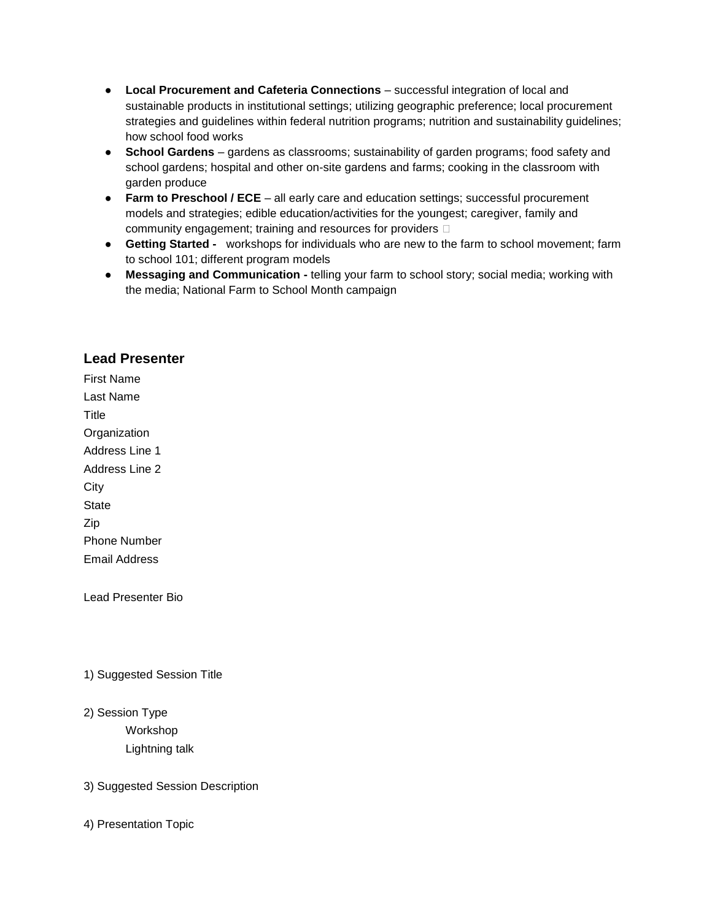- **Local Procurement and Cafeteria Connections** successful integration of local and sustainable products in institutional settings; utilizing geographic preference; local procurement strategies and guidelines within federal nutrition programs; nutrition and sustainability guidelines; how school food works
- **School Gardens** gardens as classrooms; sustainability of garden programs; food safety and school gardens; hospital and other on-site gardens and farms; cooking in the classroom with garden produce
- **Farm to Preschool / ECE**  all early care and education settings; successful procurement models and strategies; edible education/activities for the youngest; caregiver, family and community engagement; training and resources for providers
- **Getting Started -** workshops for individuals who are new to the farm to school movement; farm to school 101; different program models
- **Messaging and Communication -** telling your farm to school story; social media; working with the media; National Farm to School Month campaign

### **Lead Presenter**

First Name Last Name **Title Organization** Address Line 1 Address Line 2 **City State** Zip Phone Number Email Address

Lead Presenter Bio

1) Suggested Session Title

2) Session Type Workshop Lightning talk

#### 3) Suggested Session Description

4) Presentation Topic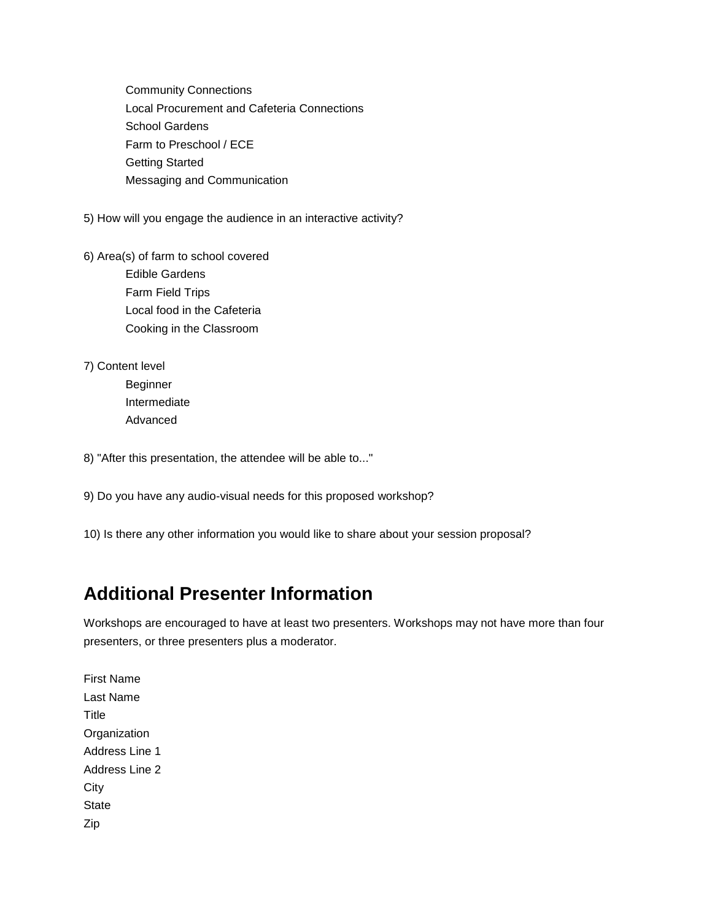Community Connections Local Procurement and Cafeteria Connections School Gardens Farm to Preschool / ECE Getting Started Messaging and Communication

5) How will you engage the audience in an interactive activity?

- 6) Area(s) of farm to school covered Edible Gardens Farm Field Trips Local food in the Cafeteria Cooking in the Classroom
- 7) Content level Beginner Intermediate
	- Advanced

8) "After this presentation, the attendee will be able to..."

9) Do you have any audio-visual needs for this proposed workshop?

10) Is there any other information you would like to share about your session proposal?

## **Additional Presenter Information**

Workshops are encouraged to have at least two presenters. Workshops may not have more than four presenters, or three presenters plus a moderator.

First Name Last Name **Title Organization** Address Line 1 Address Line 2 **City State** Zip